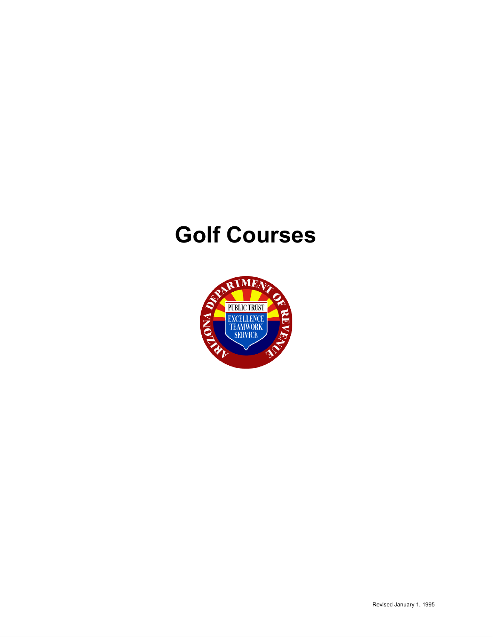# **Golf Courses**

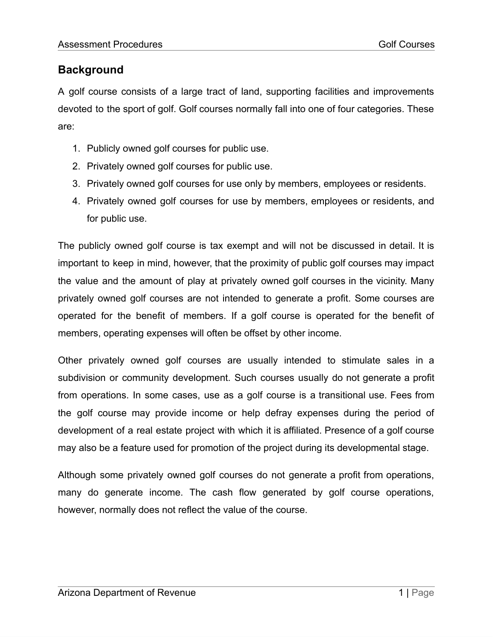# **Background**

A golf course consists of a large tract of land, supporting facilities and improvements devoted to the sport of golf. Golf courses normally fall into one of four categories. These are:

- 1. Publicly owned golf courses for public use.
- 2. Privately owned golf courses for public use.
- 3. Privately owned golf courses for use only by members, employees or residents.
- 4. Privately owned golf courses for use by members, employees or residents, and for public use.

The publicly owned golf course is tax exempt and will not be discussed in detail. It is important to keep in mind, however, that the proximity of public golf courses may impact the value and the amount of play at privately owned golf courses in the vicinity. Many privately owned golf courses are not intended to generate a profit. Some courses are operated for the benefit of members. If a golf course is operated for the benefit of members, operating expenses will often be offset by other income.

Other privately owned golf courses are usually intended to stimulate sales in a subdivision or community development. Such courses usually do not generate a profit from operations. In some cases, use as a golf course is a transitional use. Fees from the golf course may provide income or help defray expenses during the period of development of a real estate project with which it is affiliated. Presence of a golf course may also be a feature used for promotion of the project during its developmental stage.

Although some privately owned golf courses do not generate a profit from operations, many do generate income. The cash flow generated by golf course operations, however, normally does not reflect the value of the course.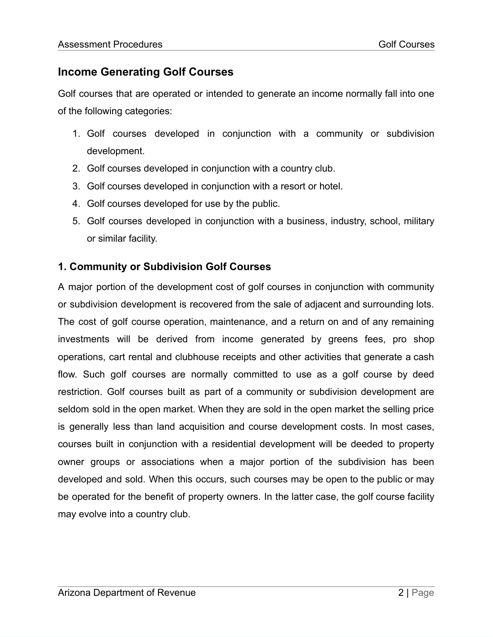## **Income Generating Golf Courses**

Golf courses that are operated or intended to generate an income normally fall into one of the following categories:

- 1. Golf courses developed in conjunction with a community or subdivision development.
- 2. Golf courses developed in conjunction with a country club.
- 3. Golf courses developed in conjunction with a resort or hotel.
- 4. Golf courses developed for use by the public.
- 5. Golf courses developed in conjunction with a business, industry, school, military or similar facility.

#### **1. Community or Subdivision Golf Courses**

A major portion of the development cost of golf courses in conjunction with community or subdivision development is recovered from the sale of adjacent and surrounding lots. The cost of golf course operation, maintenance, and a return on and of any remaining investments will be derived from income generated by greens fees, pro shop operations, cart rental and clubhouse receipts and other activities that generate a cash flow. Such golf courses are normally committed to use as a golf course by deed restriction. Golf courses built as part of a community or subdivision development are seldom sold in the open market. When they are sold in the open market the selling price is generally less than land acquisition and course development costs. In most cases, courses built in conjunction with a residential development will be deeded to property owner groups or associations when a major portion of the subdivision has been developed and sold. When this occurs, such courses may be open to the public or may be operated for the benefit of property owners. In the latter case, the golf course facility may evolve into a country club.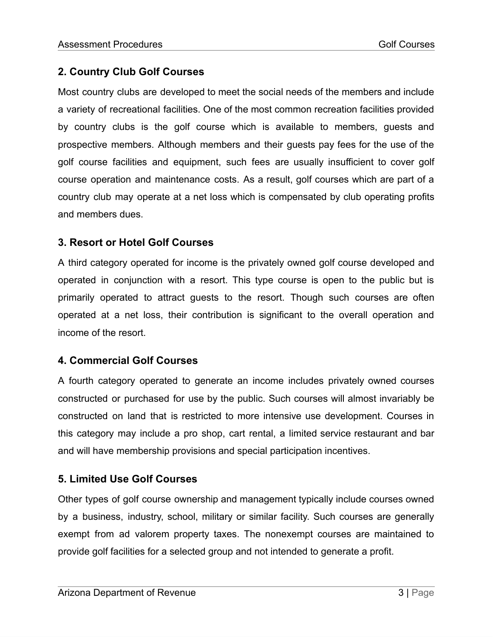#### **2. Country Club Golf Courses**

Most country clubs are developed to meet the social needs of the members and include a variety of recreational facilities. One of the most common recreation facilities provided by country clubs is the golf course which is available to members, guests and prospective members. Although members and their guests pay fees for the use of the golf course facilities and equipment, such fees are usually insufficient to cover golf course operation and maintenance costs. As a result, golf courses which are part of a country club may operate at a net loss which is compensated by club operating profits and members dues.

#### **3. Resort or Hotel Golf Courses**

A third category operated for income is the privately owned golf course developed and operated in conjunction with a resort. This type course is open to the public but is primarily operated to attract guests to the resort. Though such courses are often operated at a net loss, their contribution is significant to the overall operation and income of the resort.

#### **4. Commercial Golf Courses**

A fourth category operated to generate an income includes privately owned courses constructed or purchased for use by the public. Such courses will almost invariably be constructed on land that is restricted to more intensive use development. Courses in this category may include a pro shop, cart rental, a limited service restaurant and bar and will have membership provisions and special participation incentives.

## **5. Limited Use Golf Courses**

Other types of golf course ownership and management typically include courses owned by a business, industry, school, military or similar facility. Such courses are generally exempt from ad valorem property taxes. The nonexempt courses are maintained to provide golf facilities for a selected group and not intended to generate a profit.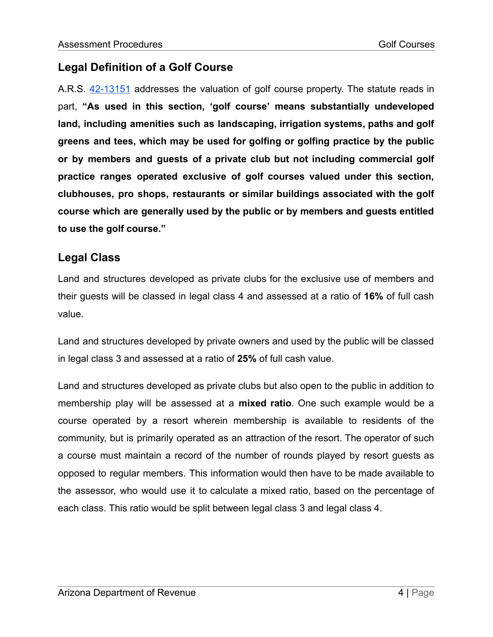# **Legal Definition of a Golf Course**

A.R.S. [42-13151](https://www.azleg.gov/viewdocument/?docName=https://www.azleg.gov/ars/42/13151.htm) addresses the valuation of golf course property. The statute reads in part, **"As used in this section, 'golf course' means substantially undeveloped land, including amenities such as landscaping, irrigation systems, paths and golf greens and tees, which may be used for golfing or golfing practice by the public or by members and guests of a private club but not including commercial golf practice ranges operated exclusive of golf courses valued under this section, clubhouses, pro shops, restaurants or similar buildings associated with the golf course which are generally used by the public or by members and guests entitled to use the golf course."**

#### **Legal Class**

Land and structures developed as private clubs for the exclusive use of members and their guests will be classed in legal class 4 and assessed at a ratio of **16%** of full cash value.

Land and structures developed by private owners and used by the public will be classed in legal class 3 and assessed at a ratio of **25%** of full cash value.

Land and structures developed as private clubs but also open to the public in addition to membership play will be assessed at a **mixed ratio**. One such example would be a course operated by a resort wherein membership is available to residents of the community, but is primarily operated as an attraction of the resort. The operator of such a course must maintain a record of the number of rounds played by resort guests as opposed to regular members. This information would then have to be made available to the assessor, who would use it to calculate a mixed ratio, based on the percentage of each class. This ratio would be split between legal class 3 and legal class 4.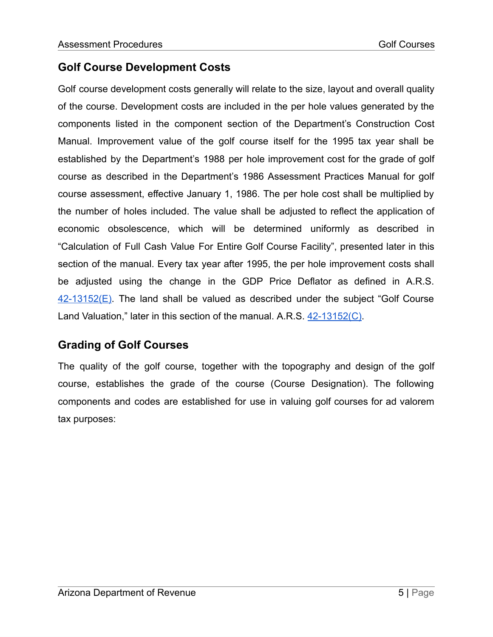## **Golf Course Development Costs**

Golf course development costs generally will relate to the size, layout and overall quality of the course. Development costs are included in the per hole values generated by the components listed in the component section of the Department's Construction Cost Manual. Improvement value of the golf course itself for the 1995 tax year shall be established by the Department's 1988 per hole improvement cost for the grade of golf course as described in the Department's 1986 Assessment Practices Manual for golf course assessment, effective January 1, 1986. The per hole cost shall be multiplied by the number of holes included. The value shall be adjusted to reflect the application of economic obsolescence, which will be determined uniformly as described in "Calculation of Full Cash Value For Entire Golf Course Facility", presented later in this section of the manual. Every tax year after 1995, the per hole improvement costs shall be adjusted using the change in the GDP Price Deflator as defined in A.R.S. [42-13152\(E\).](https://www.azleg.gov/viewdocument/?docName=https://www.azleg.gov/ars/42/13152.htm) The land shall be valued as described under the subject "Golf Course Land Valuation," later in this section of the manual. A.R.S. [42-13152\(C\)](https://www.azleg.gov/viewdocument/?docName=https://www.azleg.gov/ars/42/13152.htm).

# **Grading of Golf Courses**

The quality of the golf course, together with the topography and design of the golf course, establishes the grade of the course (Course Designation). The following components and codes are established for use in valuing golf courses for ad valorem tax purposes: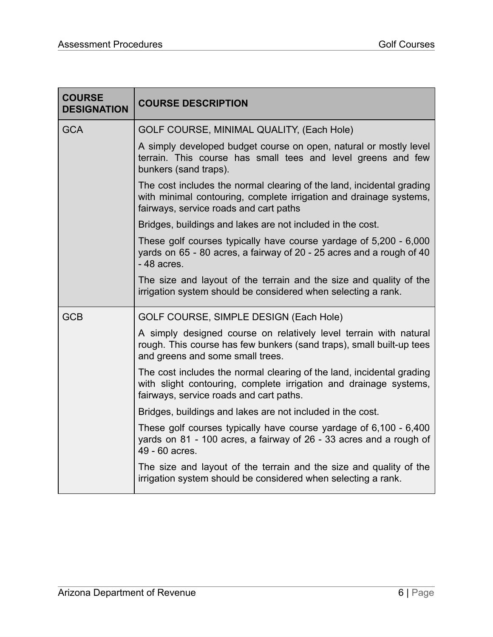| <b>COURSE</b><br><b>DESIGNATION</b> | <b>COURSE DESCRIPTION</b>                                                                                                                                                             |  |
|-------------------------------------|---------------------------------------------------------------------------------------------------------------------------------------------------------------------------------------|--|
| <b>GCA</b>                          | GOLF COURSE, MINIMAL QUALITY, (Each Hole)                                                                                                                                             |  |
|                                     | A simply developed budget course on open, natural or mostly level<br>terrain. This course has small tees and level greens and few<br>bunkers (sand traps).                            |  |
|                                     | The cost includes the normal clearing of the land, incidental grading<br>with minimal contouring, complete irrigation and drainage systems,<br>fairways, service roads and cart paths |  |
|                                     | Bridges, buildings and lakes are not included in the cost.                                                                                                                            |  |
|                                     | These golf courses typically have course yardage of 5,200 - 6,000<br>yards on 65 - 80 acres, a fairway of 20 - 25 acres and a rough of 40<br>$-48$ acres.                             |  |
|                                     | The size and layout of the terrain and the size and quality of the<br>irrigation system should be considered when selecting a rank.                                                   |  |
| <b>GCB</b>                          | GOLF COURSE, SIMPLE DESIGN (Each Hole)                                                                                                                                                |  |
|                                     | A simply designed course on relatively level terrain with natural<br>rough. This course has few bunkers (sand traps), small built-up tees<br>and greens and some small trees.         |  |
|                                     | The cost includes the normal clearing of the land, incidental grading<br>with slight contouring, complete irrigation and drainage systems,<br>fairways, service roads and cart paths. |  |
|                                     | Bridges, buildings and lakes are not included in the cost.                                                                                                                            |  |
|                                     | These golf courses typically have course yardage of 6,100 - 6,400<br>yards on 81 - 100 acres, a fairway of 26 - 33 acres and a rough of<br>49 - 60 acres.                             |  |
|                                     | The size and layout of the terrain and the size and quality of the<br>irrigation system should be considered when selecting a rank.                                                   |  |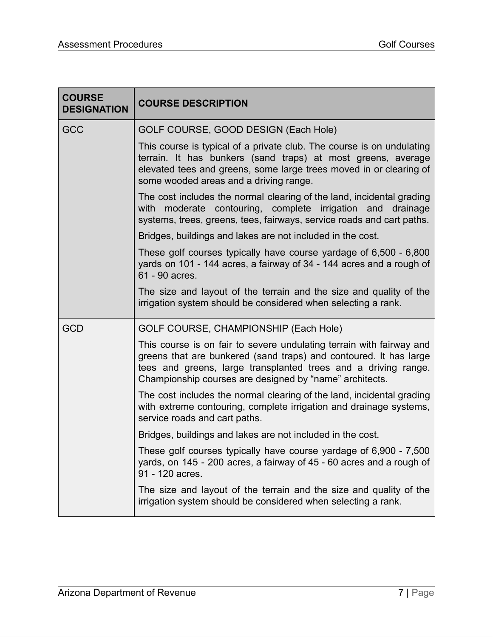| <b>COURSE</b><br><b>DESIGNATION</b> | <b>COURSE DESCRIPTION</b>                                                                                                                                                                                                                                              |  |
|-------------------------------------|------------------------------------------------------------------------------------------------------------------------------------------------------------------------------------------------------------------------------------------------------------------------|--|
| <b>GCC</b>                          | GOLF COURSE, GOOD DESIGN (Each Hole)                                                                                                                                                                                                                                   |  |
|                                     | This course is typical of a private club. The course is on undulating<br>terrain. It has bunkers (sand traps) at most greens, average<br>elevated tees and greens, some large trees moved in or clearing of<br>some wooded areas and a driving range.                  |  |
|                                     | The cost includes the normal clearing of the land, incidental grading<br>with moderate contouring, complete irrigation and drainage<br>systems, trees, greens, tees, fairways, service roads and cart paths.                                                           |  |
|                                     | Bridges, buildings and lakes are not included in the cost.                                                                                                                                                                                                             |  |
|                                     | These golf courses typically have course yardage of 6,500 - 6,800<br>yards on 101 - 144 acres, a fairway of 34 - 144 acres and a rough of<br>61 - 90 acres.                                                                                                            |  |
|                                     | The size and layout of the terrain and the size and quality of the<br>irrigation system should be considered when selecting a rank.                                                                                                                                    |  |
| <b>GCD</b>                          | GOLF COURSE, CHAMPIONSHIP (Each Hole)                                                                                                                                                                                                                                  |  |
|                                     | This course is on fair to severe undulating terrain with fairway and<br>greens that are bunkered (sand traps) and contoured. It has large<br>tees and greens, large transplanted trees and a driving range.<br>Championship courses are designed by "name" architects. |  |
|                                     | The cost includes the normal clearing of the land, incidental grading<br>with extreme contouring, complete irrigation and drainage systems,<br>service roads and cart paths.                                                                                           |  |
|                                     | Bridges, buildings and lakes are not included in the cost.                                                                                                                                                                                                             |  |
|                                     | These golf courses typically have course yardage of 6,900 - 7,500<br>yards, on 145 - 200 acres, a fairway of 45 - 60 acres and a rough of<br>91 - 120 acres.                                                                                                           |  |
|                                     | The size and layout of the terrain and the size and quality of the<br>irrigation system should be considered when selecting a rank.                                                                                                                                    |  |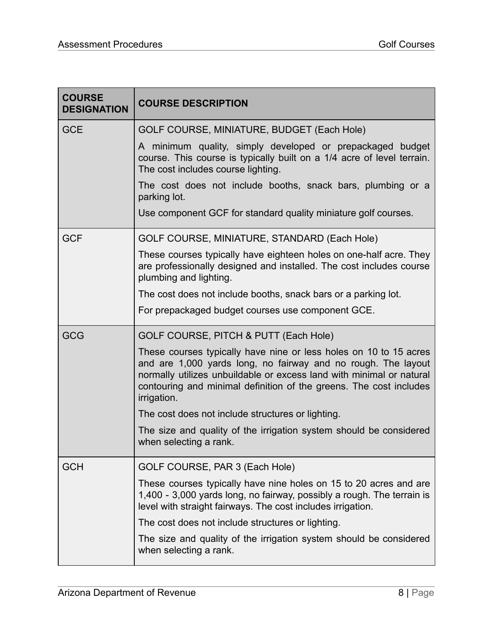| <b>COURSE</b><br><b>DESIGNATION</b> | <b>COURSE DESCRIPTION</b>                                                                                                                                                                                                                                                                       |  |
|-------------------------------------|-------------------------------------------------------------------------------------------------------------------------------------------------------------------------------------------------------------------------------------------------------------------------------------------------|--|
| <b>GCE</b>                          | GOLF COURSE, MINIATURE, BUDGET (Each Hole)                                                                                                                                                                                                                                                      |  |
|                                     | A minimum quality, simply developed or prepackaged budget<br>course. This course is typically built on a 1/4 acre of level terrain.<br>The cost includes course lighting.                                                                                                                       |  |
|                                     | The cost does not include booths, snack bars, plumbing or a<br>parking lot.                                                                                                                                                                                                                     |  |
|                                     | Use component GCF for standard quality miniature golf courses.                                                                                                                                                                                                                                  |  |
| <b>GCF</b>                          | GOLF COURSE, MINIATURE, STANDARD (Each Hole)                                                                                                                                                                                                                                                    |  |
|                                     | These courses typically have eighteen holes on one-half acre. They<br>are professionally designed and installed. The cost includes course<br>plumbing and lighting.                                                                                                                             |  |
|                                     | The cost does not include booths, snack bars or a parking lot.                                                                                                                                                                                                                                  |  |
|                                     | For prepackaged budget courses use component GCE.                                                                                                                                                                                                                                               |  |
| <b>GCG</b>                          | GOLF COURSE, PITCH & PUTT (Each Hole)                                                                                                                                                                                                                                                           |  |
|                                     | These courses typically have nine or less holes on 10 to 15 acres<br>and are 1,000 yards long, no fairway and no rough. The layout<br>normally utilizes unbuildable or excess land with minimal or natural<br>contouring and minimal definition of the greens. The cost includes<br>irrigation. |  |
|                                     | The cost does not include structures or lighting.                                                                                                                                                                                                                                               |  |
|                                     | The size and quality of the irrigation system should be considered<br>when selecting a rank.                                                                                                                                                                                                    |  |
| <b>GCH</b>                          | GOLF COURSE, PAR 3 (Each Hole)                                                                                                                                                                                                                                                                  |  |
|                                     | These courses typically have nine holes on 15 to 20 acres and are<br>1,400 - 3,000 yards long, no fairway, possibly a rough. The terrain is<br>level with straight fairways. The cost includes irrigation.                                                                                      |  |
|                                     | The cost does not include structures or lighting.                                                                                                                                                                                                                                               |  |
|                                     | The size and quality of the irrigation system should be considered<br>when selecting a rank.                                                                                                                                                                                                    |  |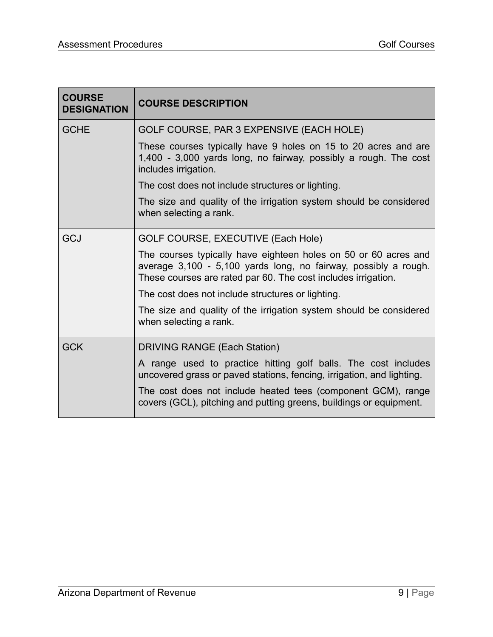| <b>COURSE</b><br><b>DESIGNATION</b> | <b>COURSE DESCRIPTION</b>                                                                                                                                                                                                                                                     |  |
|-------------------------------------|-------------------------------------------------------------------------------------------------------------------------------------------------------------------------------------------------------------------------------------------------------------------------------|--|
| <b>GCHE</b>                         | GOLF COURSE, PAR 3 EXPENSIVE (EACH HOLE)                                                                                                                                                                                                                                      |  |
|                                     | These courses typically have 9 holes on 15 to 20 acres and are<br>1,400 - 3,000 yards long, no fairway, possibly a rough. The cost<br>includes irrigation.                                                                                                                    |  |
|                                     | The cost does not include structures or lighting.                                                                                                                                                                                                                             |  |
|                                     | The size and quality of the irrigation system should be considered<br>when selecting a rank.                                                                                                                                                                                  |  |
| <b>GCJ</b>                          | GOLF COURSE, EXECUTIVE (Each Hole)                                                                                                                                                                                                                                            |  |
|                                     | The courses typically have eighteen holes on 50 or 60 acres and<br>average 3,100 - 5,100 yards long, no fairway, possibly a rough.<br>These courses are rated par 60. The cost includes irrigation.                                                                           |  |
|                                     | The cost does not include structures or lighting.                                                                                                                                                                                                                             |  |
|                                     | The size and quality of the irrigation system should be considered<br>when selecting a rank.                                                                                                                                                                                  |  |
| <b>GCK</b>                          | <b>DRIVING RANGE (Each Station)</b>                                                                                                                                                                                                                                           |  |
|                                     | A range used to practice hitting golf balls. The cost includes<br>uncovered grass or paved stations, fencing, irrigation, and lighting.<br>The cost does not include heated tees (component GCM), range<br>covers (GCL), pitching and putting greens, buildings or equipment. |  |
|                                     |                                                                                                                                                                                                                                                                               |  |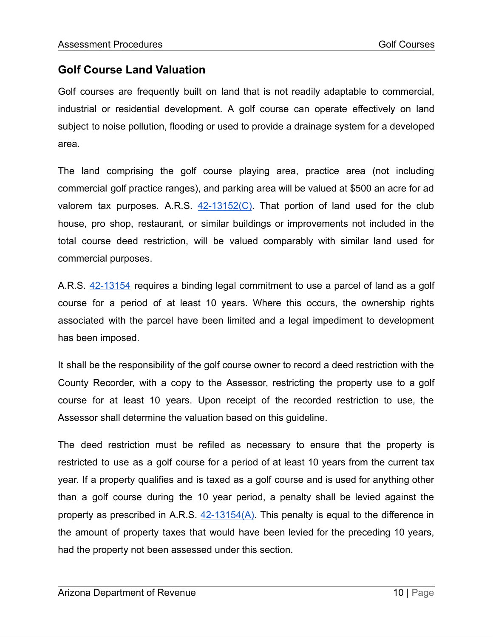## **Golf Course Land Valuation**

Golf courses are frequently built on land that is not readily adaptable to commercial, industrial or residential development. A golf course can operate effectively on land subject to noise pollution, flooding or used to provide a drainage system for a developed area.

The land comprising the golf course playing area, practice area (not including commercial golf practice ranges), and parking area will be valued at \$500 an acre for ad valorem tax purposes. A.R.S.  $42-13152(C)$ . That portion of land used for the club house, pro shop, restaurant, or similar buildings or improvements not included in the total course deed restriction, will be valued comparably with similar land used for commercial purposes.

A.R.S. [42-13154](https://www.azleg.gov/viewDocument/?docName=http://www.azleg.gov/ars/42/13154.htm) requires a binding legal commitment to use a parcel of land as a golf course for a period of at least 10 years. Where this occurs, the ownership rights associated with the parcel have been limited and a legal impediment to development has been imposed.

It shall be the responsibility of the golf course owner to record a deed restriction with the County Recorder, with a copy to the Assessor, restricting the property use to a golf course for at least 10 years. Upon receipt of the recorded restriction to use, the Assessor shall determine the valuation based on this guideline.

The deed restriction must be refiled as necessary to ensure that the property is restricted to use as a golf course for a period of at least 10 years from the current tax year. If a property qualifies and is taxed as a golf course and is used for anything other than a golf course during the 10 year period, a penalty shall be levied against the property as prescribed in A.R.S.  $42-13154(A)$ . This penalty is equal to the difference in the amount of property taxes that would have been levied for the preceding 10 years, had the property not been assessed under this section.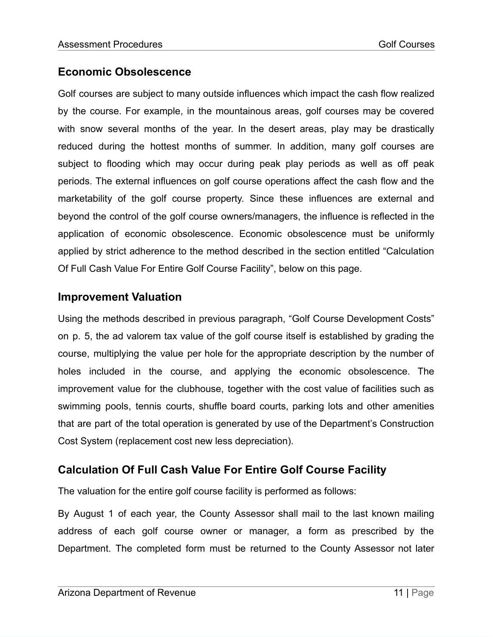## **Economic Obsolescence**

Golf courses are subject to many outside influences which impact the cash flow realized by the course. For example, in the mountainous areas, golf courses may be covered with snow several months of the year. In the desert areas, play may be drastically reduced during the hottest months of summer. In addition, many golf courses are subject to flooding which may occur during peak play periods as well as off peak periods. The external influences on golf course operations affect the cash flow and the marketability of the golf course property. Since these influences are external and beyond the control of the golf course owners/managers, the influence is reflected in the application of economic obsolescence. Economic obsolescence must be uniformly applied by strict adherence to the method described in the section entitled "Calculation Of Full Cash Value For Entire Golf Course Facility", below on this page.

## **Improvement Valuation**

Using the methods described in previous paragraph, "Golf Course Development Costs" on p. 5, the ad valorem tax value of the golf course itself is established by grading the course, multiplying the value per hole for the appropriate description by the number of holes included in the course, and applying the economic obsolescence. The improvement value for the clubhouse, together with the cost value of facilities such as swimming pools, tennis courts, shuffle board courts, parking lots and other amenities that are part of the total operation is generated by use of the Department's Construction Cost System (replacement cost new less depreciation).

# **Calculation Of Full Cash Value For Entire Golf Course Facility**

The valuation for the entire golf course facility is performed as follows:

By August 1 of each year, the County Assessor shall mail to the last known mailing address of each golf course owner or manager, a form as prescribed by the Department. The completed form must be returned to the County Assessor not later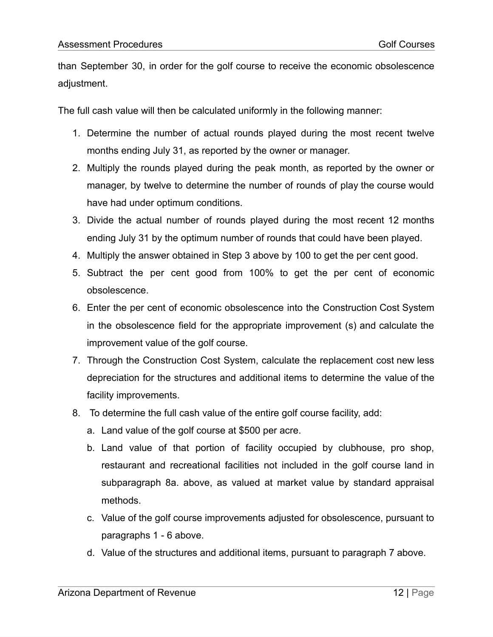than September 30, in order for the golf course to receive the economic obsolescence adjustment.

The full cash value will then be calculated uniformly in the following manner:

- 1. Determine the number of actual rounds played during the most recent twelve months ending July 31, as reported by the owner or manager.
- 2. Multiply the rounds played during the peak month, as reported by the owner or manager, by twelve to determine the number of rounds of play the course would have had under optimum conditions.
- 3. Divide the actual number of rounds played during the most recent 12 months ending July 31 by the optimum number of rounds that could have been played.
- 4. Multiply the answer obtained in Step 3 above by 100 to get the per cent good.
- 5. Subtract the per cent good from 100% to get the per cent of economic obsolescence.
- 6. Enter the per cent of economic obsolescence into the Construction Cost System in the obsolescence field for the appropriate improvement (s) and calculate the improvement value of the golf course.
- 7. Through the Construction Cost System, calculate the replacement cost new less depreciation for the structures and additional items to determine the value of the facility improvements.
- 8. To determine the full cash value of the entire golf course facility, add:
	- a. Land value of the golf course at \$500 per acre.
	- b. Land value of that portion of facility occupied by clubhouse, pro shop, restaurant and recreational facilities not included in the golf course land in subparagraph 8a. above, as valued at market value by standard appraisal methods.
	- c. Value of the golf course improvements adjusted for obsolescence, pursuant to paragraphs 1 - 6 above.
	- d. Value of the structures and additional items, pursuant to paragraph 7 above.